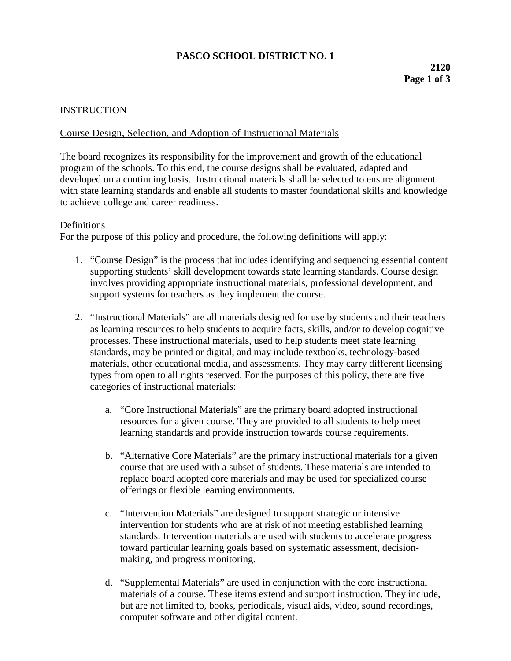# **PASCO SCHOOL DISTRICT NO. 1**

### **INSTRUCTION**

### Course Design, Selection, and Adoption of Instructional Materials

The board recognizes its responsibility for the improvement and growth of the educational program of the schools. To this end, the course designs shall be evaluated, adapted and developed on a continuing basis. Instructional materials shall be selected to ensure alignment with state learning standards and enable all students to master foundational skills and knowledge to achieve college and career readiness.

#### Definitions

For the purpose of this policy and procedure, the following definitions will apply:

- 1. "Course Design" is the process that includes identifying and sequencing essential content supporting students' skill development towards state learning standards. Course design involves providing appropriate instructional materials, professional development, and support systems for teachers as they implement the course.
- 2. "Instructional Materials" are all materials designed for use by students and their teachers as learning resources to help students to acquire facts, skills, and/or to develop cognitive processes. These instructional materials, used to help students meet state learning standards, may be printed or digital, and may include textbooks, technology-based materials, other educational media, and assessments. They may carry different licensing types from open to all rights reserved. For the purposes of this policy, there are five categories of instructional materials:
	- a. "Core Instructional Materials" are the primary board adopted instructional resources for a given course. They are provided to all students to help meet learning standards and provide instruction towards course requirements.
	- b. "Alternative Core Materials" are the primary instructional materials for a given course that are used with a subset of students. These materials are intended to replace board adopted core materials and may be used for specialized course offerings or flexible learning environments.
	- c. "Intervention Materials" are designed to support strategic or intensive intervention for students who are at risk of not meeting established learning standards. Intervention materials are used with students to accelerate progress toward particular learning goals based on systematic assessment, decisionmaking, and progress monitoring.
	- d. "Supplemental Materials" are used in conjunction with the core instructional materials of a course. These items extend and support instruction. They include, but are not limited to, books, periodicals, visual aids, video, sound recordings, computer software and other digital content.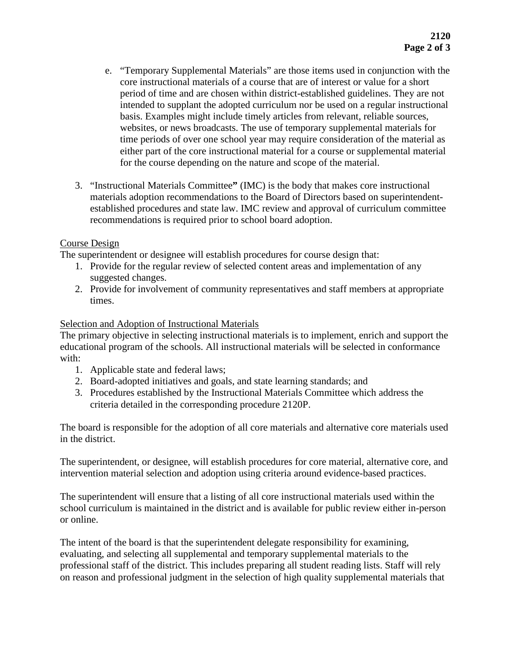- e. "Temporary Supplemental Materials" are those items used in conjunction with the core instructional materials of a course that are of interest or value for a short period of time and are chosen within district-established guidelines. They are not intended to supplant the adopted curriculum nor be used on a regular instructional basis. Examples might include timely articles from relevant, reliable sources, websites, or news broadcasts. The use of temporary supplemental materials for time periods of over one school year may require consideration of the material as either part of the core instructional material for a course or supplemental material for the course depending on the nature and scope of the material.
- 3. "Instructional Materials Committee**"** (IMC) is the body that makes core instructional materials adoption recommendations to the Board of Directors based on superintendentestablished procedures and state law. IMC review and approval of curriculum committee recommendations is required prior to school board adoption.

## Course Design

The superintendent or designee will establish procedures for course design that:

- 1. Provide for the regular review of selected content areas and implementation of any suggested changes.
- 2. Provide for involvement of community representatives and staff members at appropriate times.

# Selection and Adoption of Instructional Materials

The primary objective in selecting instructional materials is to implement, enrich and support the educational program of the schools. All instructional materials will be selected in conformance with:

- 1. Applicable state and federal laws;
- 2. Board-adopted initiatives and goals, and state learning standards; and
- 3. Procedures established by the Instructional Materials Committee which address the criteria detailed in the corresponding procedure 2120P.

The board is responsible for the adoption of all core materials and alternative core materials used in the district.

The superintendent, or designee, will establish procedures for core material, alternative core, and intervention material selection and adoption using criteria around evidence-based practices.

The superintendent will ensure that a listing of all core instructional materials used within the school curriculum is maintained in the district and is available for public review either in-person or online.

The intent of the board is that the superintendent delegate responsibility for examining, evaluating, and selecting all supplemental and temporary supplemental materials to the professional staff of the district. This includes preparing all student reading lists. Staff will rely on reason and professional judgment in the selection of high quality supplemental materials that